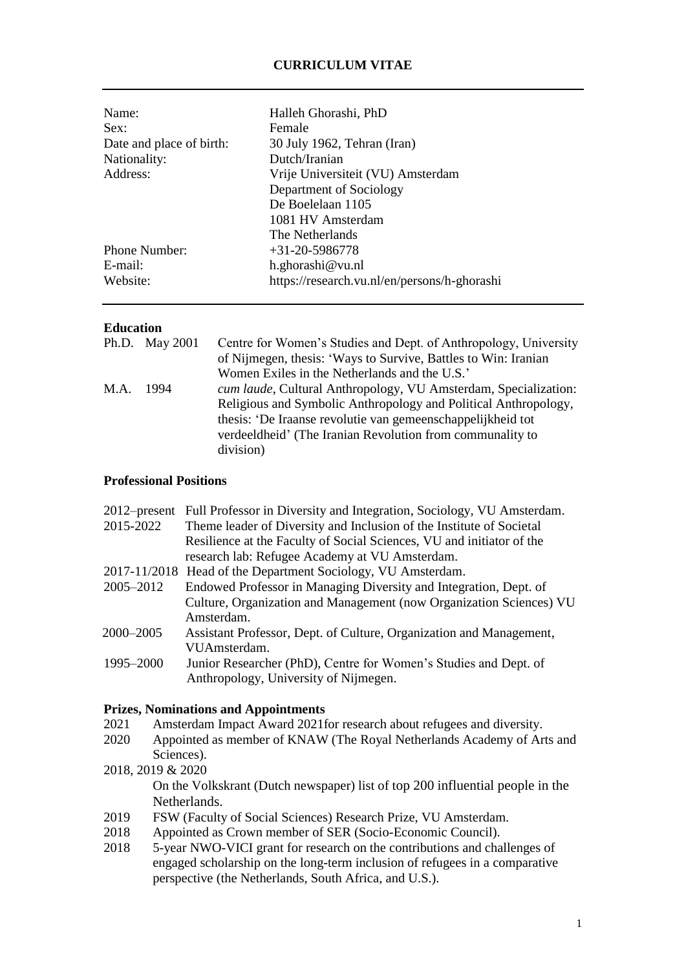# **CURRICULUM VITAE**

| Name:<br>Sex:            | Halleh Ghorashi, PhD<br>Female               |
|--------------------------|----------------------------------------------|
| Date and place of birth: | 30 July 1962, Tehran (Iran)                  |
| Nationality:             | Dutch/Iranian                                |
| Address:                 | Vrije Universiteit (VU) Amsterdam            |
|                          | Department of Sociology                      |
|                          | De Boelelaan 1105                            |
|                          | 1081 HV Amsterdam                            |
|                          | The Netherlands                              |
| Phone Number:            | $+31-20-5986778$                             |
| $E$ -mail:               | h.ghorashi@vu.nl                             |
| Website:                 | https://research.vu.nl/en/persons/h-ghorashi |

### **Education**

| Centre for Women's Studies and Dept. of Anthropology, University |
|------------------------------------------------------------------|
| of Nijmegen, thesis: 'Ways to Survive, Battles to Win: Iranian   |
| Women Exiles in the Netherlands and the U.S.'                    |
| cum laude, Cultural Anthropology, VU Amsterdam, Specialization:  |
| Religious and Symbolic Anthropology and Political Anthropology,  |
| thesis: 'De Iraanse revolutie van gemeenschappelijkheid tot      |
| verdeeldheid' (The Iranian Revolution from communality to        |
| division)                                                        |
| Ph.D. May 2001<br>M.A. 1994                                      |

## **Professional Positions**

| Theme leader of Diversity and Inclusion of the Institute of Societal  |
|-----------------------------------------------------------------------|
| Resilience at the Faculty of Social Sciences, VU and initiator of the |
|                                                                       |
|                                                                       |
| Endowed Professor in Managing Diversity and Integration, Dept. of     |
| Culture, Organization and Management (now Organization Sciences) VU   |
|                                                                       |
| Assistant Professor, Dept. of Culture, Organization and Management,   |
|                                                                       |
| Junior Researcher (PhD), Centre for Women's Studies and Dept. of      |
|                                                                       |
|                                                                       |

#### **Prizes, Nominations and Appointments**

- 2021 Amsterdam Impact Award 2021for research about refugees and diversity.
- 2020 Appointed as member of KNAW (The Royal Netherlands Academy of Arts and Sciences).
- 2018, 2019 & 2020 On the Volkskrant (Dutch newspaper) list of top 200 influential people in the Netherlands.
- 2019 FSW (Faculty of Social Sciences) Research Prize, VU Amsterdam.
- 2018 Appointed as Crown member of SER (Socio-Economic Council).
- 2018 5-year NWO-VICI grant for research on the contributions and challenges of engaged scholarship on the long-term inclusion of refugees in a comparative perspective (the Netherlands, South Africa, and U.S.).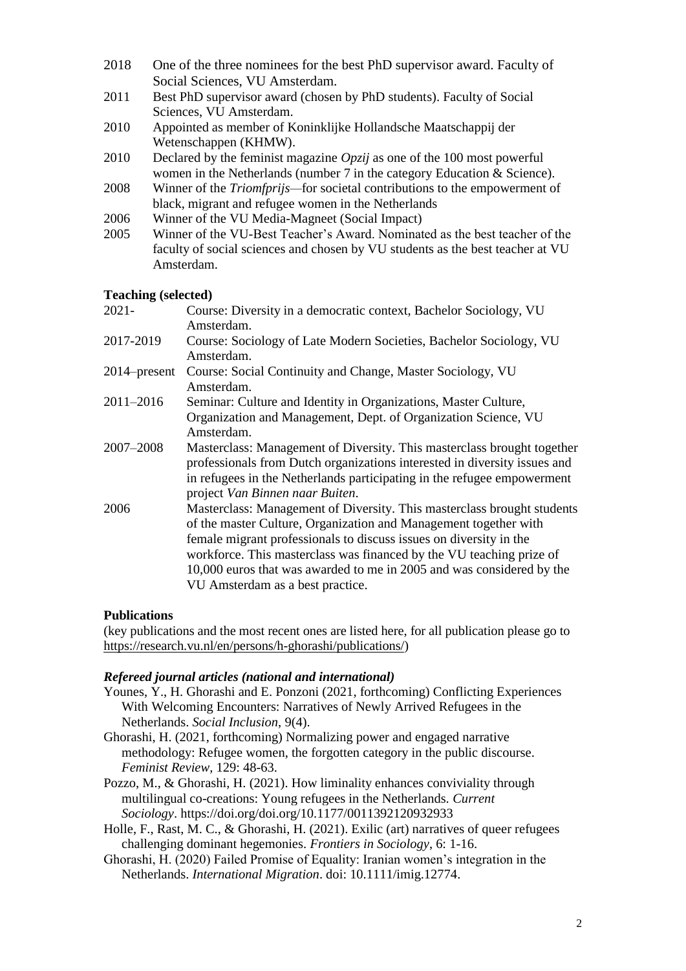- 2018 One of the three nominees for the best PhD supervisor award. Faculty of Social Sciences, VU Amsterdam.
- 2011 Best PhD supervisor award (chosen by PhD students). Faculty of Social Sciences, VU Amsterdam.
- 2010 Appointed as member of Koninklijke Hollandsche Maatschappij der Wetenschappen (KHMW).
- 2010 Declared by the feminist magazine *Opzij* as one of the 100 most powerful women in the Netherlands (number 7 in the category Education & Science).
- 2008 Winner of the *Triomfprijs—*for societal contributions to the empowerment of black, migrant and refugee women in the Netherlands
- 2006 Winner of the VU Media-Magneet (Social Impact)
- 2005 Winner of the VU-Best Teacher's Award. Nominated as the best teacher of the faculty of social sciences and chosen by VU students as the best teacher at VU Amsterdam.

# **Teaching (selected)**

| $2021 -$        | Course: Diversity in a democratic context, Bachelor Sociology, VU<br>Amsterdam.                                                                                                                                                                                                                                                                                                                        |
|-----------------|--------------------------------------------------------------------------------------------------------------------------------------------------------------------------------------------------------------------------------------------------------------------------------------------------------------------------------------------------------------------------------------------------------|
| 2017-2019       | Course: Sociology of Late Modern Societies, Bachelor Sociology, VU<br>Amsterdam.                                                                                                                                                                                                                                                                                                                       |
| $2014$ -present | Course: Social Continuity and Change, Master Sociology, VU<br>Amsterdam.                                                                                                                                                                                                                                                                                                                               |
| $2011 - 2016$   | Seminar: Culture and Identity in Organizations, Master Culture,<br>Organization and Management, Dept. of Organization Science, VU<br>Amsterdam.                                                                                                                                                                                                                                                        |
| 2007-2008       | Masterclass: Management of Diversity. This masterclass brought together<br>professionals from Dutch organizations interested in diversity issues and<br>in refugees in the Netherlands participating in the refugee empowerment<br>project Van Binnen naar Buiten.                                                                                                                                     |
| 2006            | Masterclass: Management of Diversity. This masterclass brought students<br>of the master Culture, Organization and Management together with<br>female migrant professionals to discuss issues on diversity in the<br>workforce. This masterclass was financed by the VU teaching prize of<br>10,000 euros that was awarded to me in 2005 and was considered by the<br>VU Amsterdam as a best practice. |

# **Publications**

(key publications and the most recent ones are listed here, for all publication please go to [https://research.vu.nl/en/persons/h-ghorashi/publications/\)](https://research.vu.nl/en/persons/h-ghorashi/publications/)

# *Refereed journal articles (national and international)*

- Younes, Y., H. Ghorashi and E. Ponzoni (2021, forthcoming) Conflicting Experiences With Welcoming Encounters: Narratives of Newly Arrived Refugees in the Netherlands. *Social Inclusion*, 9(4).
- Ghorashi, H. (2021, forthcoming) Normalizing power and engaged narrative methodology: Refugee women, the forgotten category in the public discourse. *Feminist Review,* 129: 48-63.
- Pozzo, M., & Ghorashi, H. (2021). How liminality enhances conviviality through multilingual co-creations: Young refugees in the Netherlands. *Current Sociology*. https://doi.org/doi.org/10.1177/0011392120932933
- Holle, F., Rast, M. C., & Ghorashi, H. (2021). Exilic (art) narratives of queer refugees challenging dominant hegemonies. *Frontiers in Sociology*, 6: 1-16.
- Ghorashi, H. (2020) Failed Promise of Equality: Iranian women's integration in the Netherlands. *International Migration*. doi: 10.1111/imig.12774.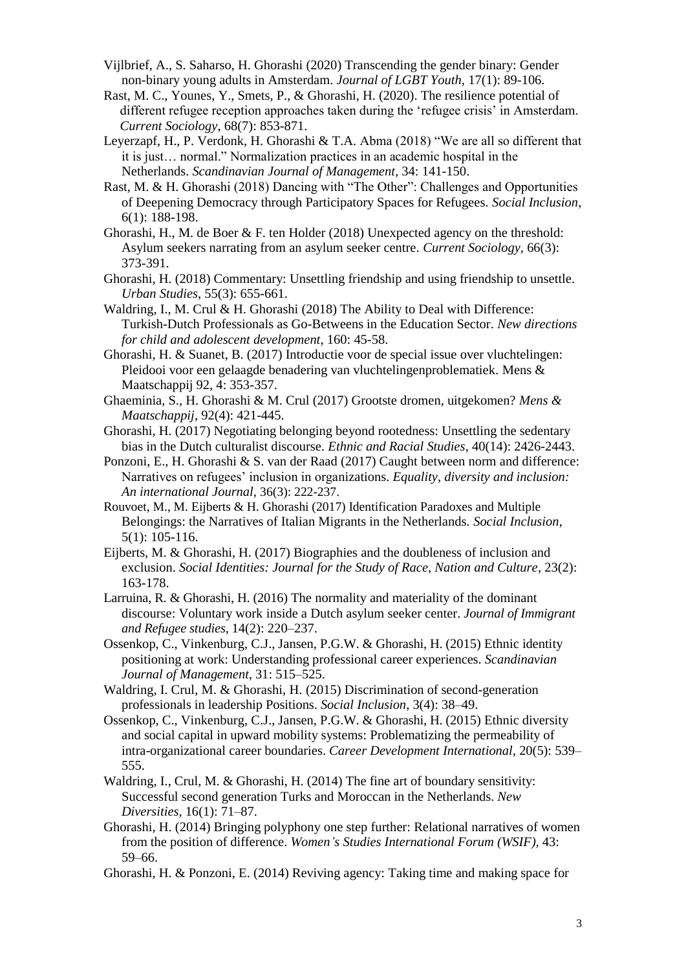- Vijlbrief, A., S. Saharso, H. Ghorashi (2020) Transcending the gender binary: Gender non-binary young adults in Amsterdam. *Journal of LGBT Youth*, 17(1): 89-106.
- Rast, M. C., Younes, Y., Smets, P., & Ghorashi, H. (2020). The resilience potential of different refugee reception approaches taken during the 'refugee crisis' in Amsterdam. *Current Sociology*, 68(7): 853-871.
- Leyerzapf, H., P. Verdonk, H. Ghorashi & T.A. Abma (2018) "We are all so different that it is just… normal." Normalization practices in an academic hospital in the Netherlands. *Scandinavian Journal of Management*, 34: 141-150.
- Rast, M. & H. Ghorashi (2018) Dancing with "The Other": Challenges and Opportunities of Deepening Democracy through Participatory Spaces for Refugees. *Social Inclusion*, 6(1): 188-198.
- Ghorashi, H., M. de Boer & F. ten Holder (2018) Unexpected agency on the threshold: Asylum seekers narrating from an asylum seeker centre. *Current Sociology,* 66(3): 373-391.
- Ghorashi, H. (2018) Commentary: Unsettling friendship and using friendship to unsettle. *Urban Studies*, 55(3): 655-661.
- Waldring, I., M. Crul & H. Ghorashi (2018) The Ability to Deal with Difference: Turkish-Dutch Professionals as Go-Betweens in the Education Sector. *New directions for child and adolescent development*, 160: 45-58.
- Ghorashi, H. & Suanet, B. (2017) Introductie voor de special issue over vluchtelingen: Pleidooi voor een gelaagde benadering van vluchtelingenproblematiek. Mens & Maatschappij 92, 4: 353-357.
- Ghaeminia, S., H. Ghorashi & M. Crul (2017) Grootste dromen, uitgekomen? *Mens & Maatschappij*, 92(4): 421-445.
- Ghorashi, H. (2017) Negotiating belonging beyond rootedness: Unsettling the sedentary bias in the Dutch culturalist discourse. *Ethnic and Racial Studies*, 40(14): 2426-2443.
- Ponzoni, E., H. Ghorashi & S. van der Raad (2017) Caught between norm and difference: Narratives on refugees' inclusion in organizations. *Equality, diversity and inclusion: An international Journal,* 36(3): 222-237.
- Rouvoet, M., M. Eijberts & H. Ghorashi (2017) Identification Paradoxes and Multiple Belongings: the Narratives of Italian Migrants in the Netherlands. *Social Inclusion*, 5(1): 105-116.
- Eijberts, M. & Ghorashi, H. (2017) Biographies and the doubleness of inclusion and exclusion. *Social Identities: Journal for the Study of Race, Nation and Culture*, 23(2): 163-178.
- Larruina, R. & Ghorashi, H. (2016) The normality and materiality of the dominant discourse: Voluntary work inside a Dutch asylum seeker center. *Journal of Immigrant and Refugee studies*, 14(2): 220–237.
- Ossenkop, C., Vinkenburg, C.J., Jansen, P.G.W. & Ghorashi, H. (2015) Ethnic identity positioning at work: Understanding professional career experiences. *Scandinavian Journal of Management*, 31: 515–525.
- Waldring, I. Crul, M. & Ghorashi, H. (2015) Discrimination of second-generation professionals in leadership Positions. *Social Inclusion*, 3(4): 38–49.
- Ossenkop, C., Vinkenburg, C.J., Jansen, P.G.W. & Ghorashi, H. (2015) Ethnic diversity and social capital in upward mobility systems: Problematizing the permeability of intra-organizational career boundaries. *Career Development International*, 20(5): 539– 555.
- Waldring, I., Crul, M. & Ghorashi, H. (2014) The fine art of boundary sensitivity: Successful second generation Turks and Moroccan in the Netherlands. *New Diversities,* 16(1): 71–87.
- Ghorashi, H. (2014) Bringing polyphony one step further: Relational narratives of women from the position of difference. *Women's Studies International Forum (WSIF),* 43: 59–66.
- Ghorashi, H. & Ponzoni, E. (2014) Reviving agency: Taking time and making space for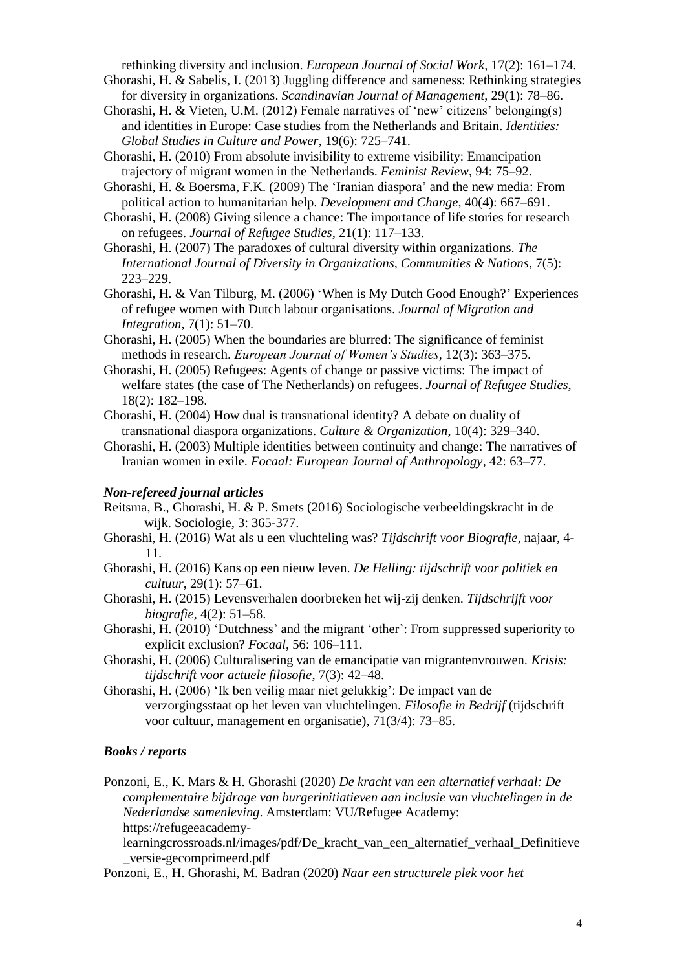rethinking diversity and inclusion. *European Journal of Social Work,* 17(2): 161–174.

- Ghorashi, H. & Sabelis, I. (2013) Juggling difference and sameness: Rethinking strategies for diversity in organizations. *Scandinavian Journal of Management*, 29(1): 78–86.
- Ghorashi, H. & Vieten, U.M. (2012) Female narratives of 'new' citizens' belonging(s) and identities in Europe: Case studies from the Netherlands and Britain. *Identities: Global Studies in Culture and Power*, 19(6): 725–741.
- Ghorashi, H. (2010) From absolute invisibility to extreme visibility: Emancipation trajectory of migrant women in the Netherlands. *Feminist Review*, 94: 75–92.

Ghorashi, H. & Boersma, F.K. (2009) The 'Iranian diaspora' and the new media: From political action to humanitarian help. *Development and Change,* 40(4): 667–691.

Ghorashi, H. (2008) Giving silence a chance: The importance of life stories for research on refugees. *Journal of Refugee Studies*, 21(1): 117–133.

- Ghorashi, H. (2007) The paradoxes of cultural diversity within organizations. *The International Journal of Diversity in Organizations, Communities & Nations*, 7(5): 223–229.
- Ghorashi, H. & Van Tilburg, M. (2006) 'When is My Dutch Good Enough?' Experiences of refugee women with Dutch labour organisations. *Journal of Migration and Integration*, 7(1): 51–70.
- Ghorashi, H. (2005) When the boundaries are blurred: The significance of feminist methods in research. *European Journal of Women's Studies*, 12(3): 363–375.
- Ghorashi, H. (2005) Refugees: Agents of change or passive victims: The impact of welfare states (the case of The Netherlands) on refugees. *Journal of Refugee Studies*, 18(2): 182–198.
- Ghorashi, H. (2004) How dual is transnational identity? A debate on duality of transnational diaspora organizations. *Culture & Organization*, 10(4): 329–340.
- Ghorashi, H. (2003) Multiple identities between continuity and change: The narratives of Iranian women in exile. *Focaal: European Journal of Anthropology*, 42: 63–77.

#### *Non-refereed journal articles*

- Reitsma, B., Ghorashi, H. & P. Smets (2016) Sociologische verbeeldingskracht in de wijk. Sociologie, 3: 365-377.
- Ghorashi, H. (2016) Wat als u een vluchteling was? *Tijdschrift voor Biografie*, najaar, 4- 11.
- Ghorashi, H. (2016) Kans op een nieuw leven. *De Helling: tijdschrift voor politiek en cultuur*, 29(1): 57–61.
- Ghorashi, H. (2015) Levensverhalen doorbreken het wij-zij denken. *Tijdschrijft voor biografie*, 4(2): 51–58.
- Ghorashi, H. (2010) 'Dutchness' and the migrant 'other': From suppressed superiority to explicit exclusion? *Focaal*, 56: 106–111.
- Ghorashi, H. (2006) Culturalisering van de emancipatie van migrantenvrouwen. *Krisis: tijdschrift voor actuele filosofie*, 7(3): 42–48.
- Ghorashi, H. (2006) 'Ik ben veilig maar niet gelukkig': De impact van de verzorgingsstaat op het leven van vluchtelingen. *Filosofie in Bedrijf* (tijdschrift voor cultuur, management en organisatie), 71(3/4): 73–85.

#### *Books / reports*

Ponzoni, E., K. Mars & H. Ghorashi (2020) *De kracht van een alternatief verhaal: De complementaire bijdrage van burgerinitiatieven aan inclusie van vluchtelingen in de Nederlandse samenleving*. Amsterdam: VU/Refugee Academy: https://refugeeacademy-

learningcrossroads.nl/images/pdf/De\_kracht\_van\_een\_alternatief\_verhaal\_Definitieve \_versie-gecomprimeerd.pdf

Ponzoni, E., H. Ghorashi, M. Badran (2020) *Naar een structurele plek voor het*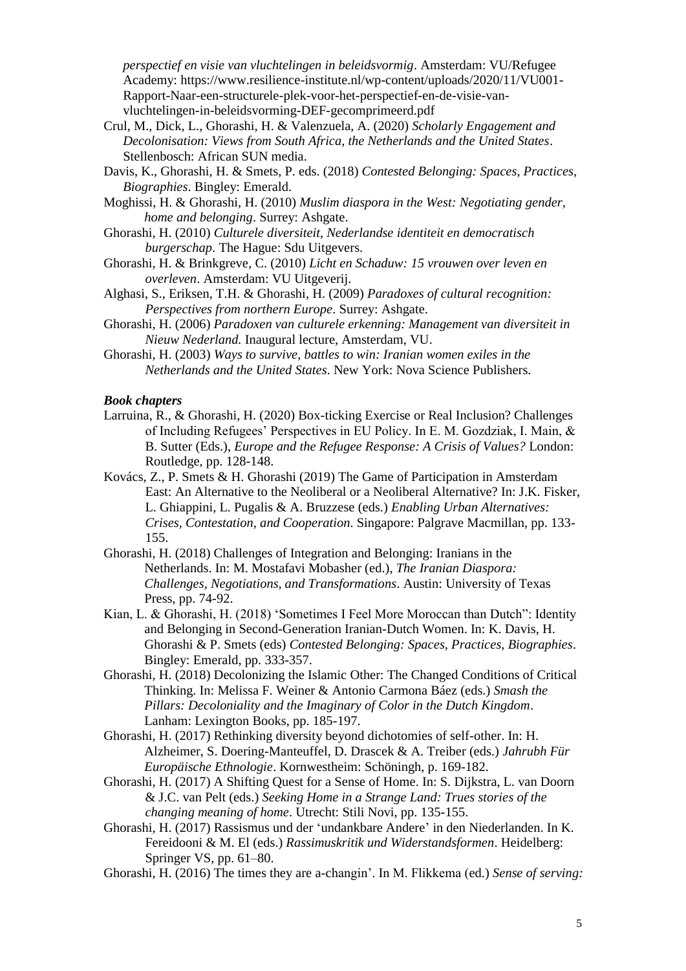*perspectief en visie van vluchtelingen in beleidsvormig*. Amsterdam: VU/Refugee Academy: https://www.resilience-institute.nl/wp-content/uploads/2020/11/VU001- Rapport-Naar-een-structurele-plek-voor-het-perspectief-en-de-visie-vanvluchtelingen-in-beleidsvorming-DEF-gecomprimeerd.pdf

- Crul, M., Dick, L., Ghorashi, H. & Valenzuela, A. (2020) *Scholarly Engagement and Decolonisation: Views from South Africa, the Netherlands and the United States*. Stellenbosch: African SUN media.
- Davis, K., Ghorashi, H. & Smets, P. eds. (2018) *Contested Belonging: Spaces, Practices, Biographies*. Bingley: Emerald.
- Moghissi, H. & Ghorashi, H. (2010) *Muslim diaspora in the West: Negotiating gender, home and belonging*. Surrey: Ashgate.
- Ghorashi, H. (2010) *Culturele diversiteit, Nederlandse identiteit en democratisch burgerschap*. The Hague: Sdu Uitgevers.
- Ghorashi, H. & Brinkgreve, C. (2010) *Licht en Schaduw: 15 vrouwen over leven en overleven*. Amsterdam: VU Uitgeverij.
- Alghasi, S., Eriksen, T.H. & Ghorashi, H. (2009) *Paradoxes of cultural recognition: Perspectives from northern Europe*. Surrey: Ashgate.
- Ghorashi, H. (2006) *Paradoxen van culturele erkenning: Management van diversiteit in Nieuw Nederland.* Inaugural lecture, Amsterdam, VU.
- Ghorashi, H. (2003) *Ways to survive, battles to win: Iranian women exiles in the Netherlands and the United States*. New York: Nova Science Publishers.

#### *Book chapters*

- Larruina, R., & Ghorashi, H. (2020) Box-ticking Exercise or Real Inclusion? Challenges of Including Refugees' Perspectives in EU Policy. In E. M. Gozdziak, I. Main, & B. Sutter (Eds.), *Europe and the Refugee Response: A Crisis of Values?* London: Routledge, pp. 128-148.
- Kovács, Z., P. Smets & H. Ghorashi (2019) The Game of Participation in Amsterdam East: An Alternative to the Neoliberal or a Neoliberal Alternative? In: J.K. Fisker, L. Ghiappini, L. Pugalis & A. Bruzzese (eds.) *Enabling Urban Alternatives: Crises, Contestation, and Cooperation*. Singapore: Palgrave Macmillan, pp. 133- 155.
- Ghorashi, H. (2018) Challenges of Integration and Belonging: Iranians in the Netherlands. In: M. Mostafavi Mobasher (ed.), *The Iranian Diaspora: Challenges, Negotiations, and Transformations*. Austin: University of Texas Press, pp. 74-92.
- Kian, L. & Ghorashi, H. (2018) 'Sometimes I Feel More Moroccan than Dutch": Identity and Belonging in Second-Generation Iranian-Dutch Women. In: K. Davis, H. Ghorashi & P. Smets (eds) *Contested Belonging: Spaces, Practices, Biographies*. Bingley: Emerald, pp. 333-357.
- Ghorashi, H. (2018) Decolonizing the Islamic Other: The Changed Conditions of Critical Thinking. In: Melissa F. Weiner & Antonio Carmona Báez (eds.) *Smash the Pillars: Decoloniality and the Imaginary of Color in the Dutch Kingdom*. Lanham: Lexington Books, pp. 185-197.
- Ghorashi, H. (2017) Rethinking diversity beyond dichotomies of self-other. In: H. Alzheimer, S. Doering-Manteuffel, D. Drascek & A. Treiber (eds.) *Jahrubh Für Europäische Ethnologie*. Kornwestheim: Schöningh, p. 169-182.
- Ghorashi, H. (2017) A Shifting Quest for a Sense of Home. In: S. Dijkstra, L. van Doorn & J.C. van Pelt (eds.) *Seeking Home in a Strange Land: Trues stories of the changing meaning of home*. Utrecht: Stili Novi, pp. 135-155.
- Ghorashi, H. (2017) Rassismus und der 'undankbare Andere' in den Niederlanden. In K. Fereidooni & M. El (eds.) *Rassimuskritik und Widerstandsformen*. Heidelberg: Springer VS, pp. 61–80.
- Ghorashi, H. (2016) The times they are a-changin'. In M. Flikkema (ed.) *Sense of serving:*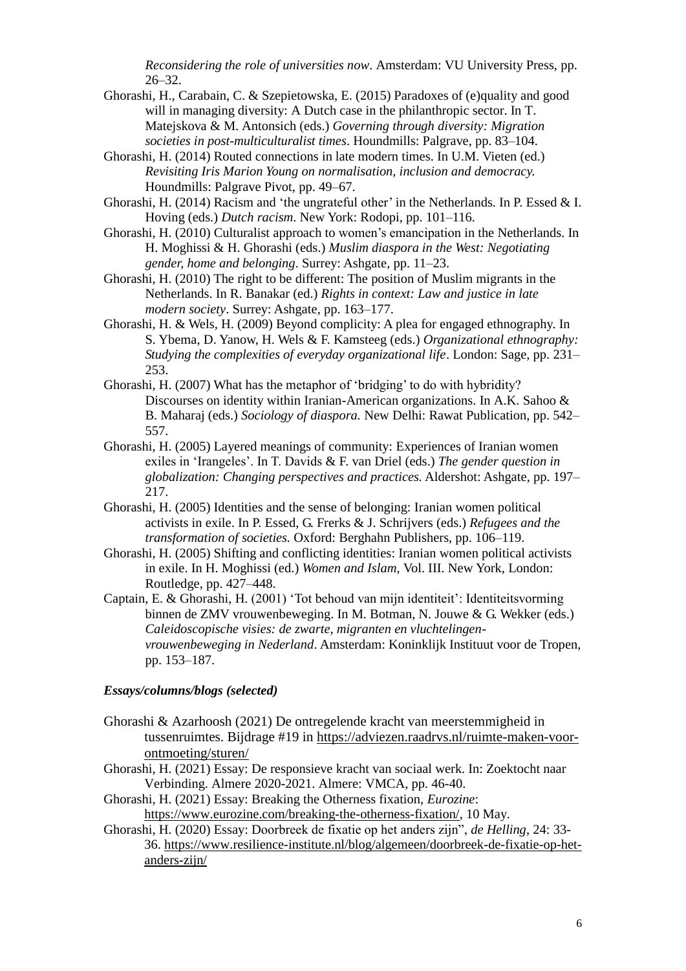*Reconsidering the role of universities now*. Amsterdam: VU University Press, pp. 26–32.

- Ghorashi, H., Carabain, C. & Szepietowska, E. (2015) Paradoxes of (e)quality and good will in managing diversity: A Dutch case in the philanthropic sector. In T. Matejskova & M. Antonsich (eds.) *Governing through diversity: Migration societies in post-multiculturalist times*. Houndmills: Palgrave, pp. 83–104.
- Ghorashi, H. (2014) Routed connections in late modern times. In U.M. Vieten (ed.) *Revisiting Iris Marion Young on normalisation, inclusion and democracy.* Houndmills: Palgrave Pivot, pp. 49–67.
- Ghorashi, H. (2014) Racism and 'the ungrateful other' in the Netherlands. In P. Essed & I. Hoving (eds.) *Dutch racism*. New York: Rodopi, pp. 101–116.
- Ghorashi, H. (2010) Culturalist approach to women's emancipation in the Netherlands. In H. Moghissi & H. Ghorashi (eds.) *Muslim diaspora in the West: Negotiating gender, home and belonging*. Surrey: Ashgate, pp. 11–23.
- Ghorashi, H. (2010) The right to be different: The position of Muslim migrants in the Netherlands. In R. Banakar (ed.) *Rights in context: Law and justice in late modern society*. Surrey: Ashgate, pp. 163–177.
- Ghorashi, H. & Wels, H. (2009) Beyond complicity: A plea for engaged ethnography. In S. Ybema, D. Yanow, H. Wels & F. Kamsteeg (eds.) *Organizational ethnography: Studying the complexities of everyday organizational life*. London: Sage, pp. 231– 253.
- Ghorashi, H. (2007) What has the metaphor of 'bridging' to do with hybridity? Discourses on identity within Iranian-American organizations. In A.K. Sahoo & B. Maharaj (eds.) *Sociology of diaspora.* New Delhi: Rawat Publication, pp. 542– 557.
- Ghorashi, H. (2005) Layered meanings of community: Experiences of Iranian women exiles in 'Irangeles'. In T. Davids & F. van Driel (eds.) *The gender question in globalization: Changing perspectives and practices.* Aldershot: Ashgate, pp. 197– 217.
- Ghorashi, H. (2005) Identities and the sense of belonging: Iranian women political activists in exile. In P. Essed, G. Frerks & J. Schrijvers (eds.) *Refugees and the transformation of societies.* Oxford: Berghahn Publishers, pp. 106–119.
- Ghorashi, H. (2005) Shifting and conflicting identities: Iranian women political activists in exile. In H. Moghissi (ed.) *Women and Islam,* Vol. III. New York, London: Routledge, pp. 427–448.
- Captain, E. & Ghorashi, H. (2001) 'Tot behoud van mijn identiteit': Identiteitsvorming binnen de ZMV vrouwenbeweging. In M. Botman, N. Jouwe & G. Wekker (eds.) *Caleidoscopische visies: de zwarte, migranten en vluchtelingenvrouwenbeweging in Nederland*. Amsterdam: Koninklijk Instituut voor de Tropen, pp. 153–187.

### *Essays/columns/blogs (selected)*

- Ghorashi & Azarhoosh (2021) De ontregelende kracht van meerstemmigheid in tussenruimtes. Bijdrage #19 in [https://adviezen.raadrvs.nl/ruimte-maken-voor](https://adviezen.raadrvs.nl/ruimte-maken-voor-ontmoeting/sturen/)[ontmoeting/sturen/](https://adviezen.raadrvs.nl/ruimte-maken-voor-ontmoeting/sturen/)
- Ghorashi, H. (2021) Essay: De responsieve kracht van sociaal werk. In: Zoektocht naar Verbinding. Almere 2020-2021. Almere: VMCA, pp. 46-40.
- Ghorashi, H. (2021) Essay: Breaking the Otherness fixation, *Eurozine*: [https://www.eurozine.com/breaking-the-otherness-fixation/,](https://www.eurozine.com/breaking-the-otherness-fixation/) 10 May.
- Ghorashi, H. (2020) Essay: Doorbreek de fixatie op het anders zijn", *de Helling*, 24: 33- 36. [https://www.resilience-institute.nl/blog/algemeen/doorbreek-de-fixatie-op-het](https://www.resilience-institute.nl/blog/algemeen/doorbreek-de-fixatie-op-het-anders-zijn/)[anders-zijn/](https://www.resilience-institute.nl/blog/algemeen/doorbreek-de-fixatie-op-het-anders-zijn/)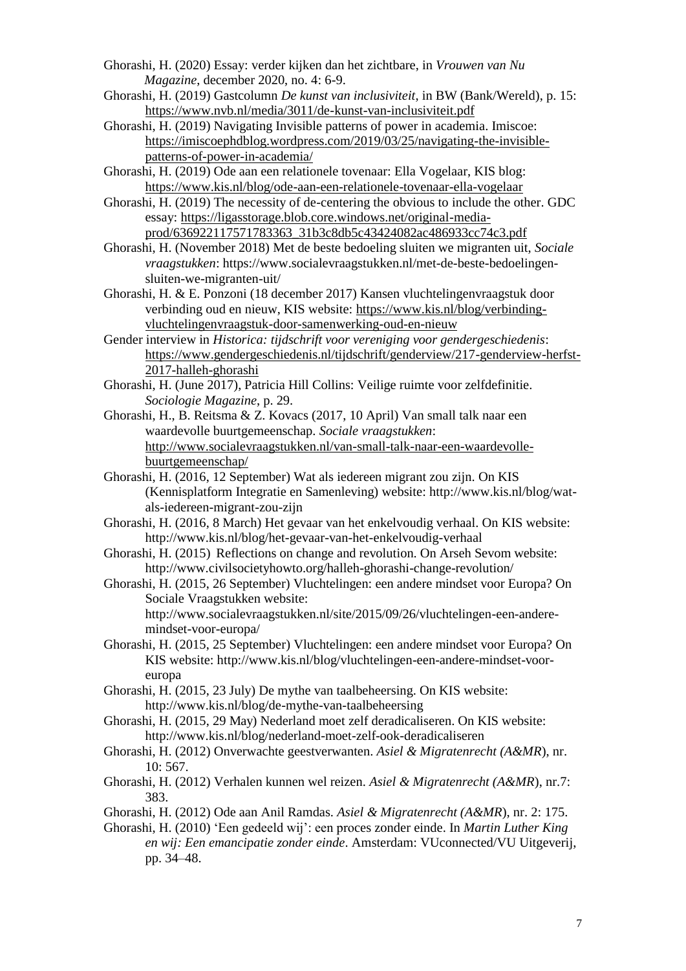- Ghorashi, H. (2020) Essay: verder kijken dan het zichtbare, in *Vrouwen van Nu Magazine*, december 2020, no. 4: 6-9.
- Ghorashi, H. (2019) Gastcolumn *De kunst van inclusiviteit*, in BW (Bank/Wereld), p. 15: <https://www.nvb.nl/media/3011/de-kunst-van-inclusiviteit.pdf>
- Ghorashi, H. (2019) Navigating Invisible patterns of power in academia. Imiscoe: [https://imiscoephdblog.wordpress.com/2019/03/25/navigating-the-invisible](https://imiscoephdblog.wordpress.com/2019/03/25/navigating-the-invisible-patterns-of-power-in-academia/)[patterns-of-power-in-academia/](https://imiscoephdblog.wordpress.com/2019/03/25/navigating-the-invisible-patterns-of-power-in-academia/)
- Ghorashi, H. (2019) Ode aan een relationele tovenaar: Ella Vogelaar, KIS blog: <https://www.kis.nl/blog/ode-aan-een-relationele-tovenaar-ella-vogelaar>
- Ghorashi, H. (2019) The necessity of de-centering the obvious to include the other. GDC essay: [https://ligasstorage.blob.core.windows.net/original-media](https://ligasstorage.blob.core.windows.net/original-media-prod/636922117571783363_31b3c8db5c43424082ac486933cc74c3.pdf)[prod/636922117571783363\\_31b3c8db5c43424082ac486933cc74c3.pdf](https://ligasstorage.blob.core.windows.net/original-media-prod/636922117571783363_31b3c8db5c43424082ac486933cc74c3.pdf)
- Ghorashi, H. (November 2018) Met de beste bedoeling sluiten we migranten uit, *Sociale vraagstukken*: [https://www.socialevraagstukken.nl/met-de-beste-bedoelingen](https://www.socialevraagstukken.nl/met-de-beste-bedoelingen-sluiten-we-migranten-uit/)[sluiten-we-migranten-uit/](https://www.socialevraagstukken.nl/met-de-beste-bedoelingen-sluiten-we-migranten-uit/)
- Ghorashi, H. & E. Ponzoni (18 december 2017) Kansen vluchtelingenvraagstuk door verbinding oud en nieuw, KIS website: [https://www.kis.nl/blog/verbinding](https://www.kis.nl/blog/verbinding-vluchtelingenvraagstuk-door-samenwerking-oud-en-nieuw)[vluchtelingenvraagstuk-door-samenwerking-oud-en-nieuw](https://www.kis.nl/blog/verbinding-vluchtelingenvraagstuk-door-samenwerking-oud-en-nieuw)
- Gender interview in *Historica: tijdschrift voor vereniging voor gendergeschiedenis*: [https://www.gendergeschiedenis.nl/tijdschrift/genderview/217-genderview-herfst-](https://www.gendergeschiedenis.nl/tijdschrift/genderview/217-genderview-herfst-2017-halleh-ghorashi)[2017-halleh-ghorashi](https://www.gendergeschiedenis.nl/tijdschrift/genderview/217-genderview-herfst-2017-halleh-ghorashi)
- Ghorashi, H. (June 2017), Patricia Hill Collins: Veilige ruimte voor zelfdefinitie. *Sociologie Magazine*, p. 29.
- Ghorashi, H., B. Reitsma & Z. Kovacs (2017, 10 April) Van small talk naar een waardevolle buurtgemeenschap. *Sociale vraagstukken*: [http://www.socialevraagstukken.nl/van-small-talk-naar-een-waardevolle](http://www.socialevraagstukken.nl/van-small-talk-naar-een-waardevolle-buurtgemeenschap/)[buurtgemeenschap/](http://www.socialevraagstukken.nl/van-small-talk-naar-een-waardevolle-buurtgemeenschap/)
- Ghorashi, H. (2016, 12 September) Wat als iedereen migrant zou zijn. On KIS (Kennisplatform Integratie en Samenleving) website: http://www.kis.nl/blog/watals-iedereen-migrant-zou-zijn
- Ghorashi, H. (2016, 8 March) Het gevaar van het enkelvoudig verhaal. On KIS website: http://www.kis.nl/blog/het-gevaar-van-het-enkelvoudig-verhaal
- Ghorashi, H. (2015) Reflections on change and revolution. On Arseh Sevom website: http://www.civilsocietyhowto.org/halleh-ghorashi-change-revolution/
- Ghorashi, H. (2015, 26 September) Vluchtelingen: een andere mindset voor Europa? On Sociale Vraagstukken website: http://www.socialevraagstukken.nl/site/2015/09/26/vluchtelingen-een-andere-
- mindset-voor-europa/ Ghorashi, H. (2015, 25 September) Vluchtelingen: een andere mindset voor Europa? On KIS website: http://www.kis.nl/blog/vluchtelingen-een-andere-mindset-vooreuropa
- Ghorashi, H. (2015, 23 July) De mythe van taalbeheersing. On KIS website: http://www.kis.nl/blog/de-mythe-van-taalbeheersing
- Ghorashi, H. (2015, 29 May) Nederland moet zelf deradicaliseren. On KIS website: http://www.kis.nl/blog/nederland-moet-zelf-ook-deradicaliseren
- Ghorashi, H. (2012) Onverwachte geestverwanten. *Asiel & Migratenrecht (A&MR*), nr. 10: 567.
- Ghorashi, H. (2012) Verhalen kunnen wel reizen. *Asiel & Migratenrecht (A&MR*), nr.7: 383.
- Ghorashi, H. (2012) Ode aan Anil Ramdas. *Asiel & Migratenrecht (A&MR*), nr. 2: 175.
- Ghorashi, H. (2010) 'Een gedeeld wij': een proces zonder einde. In *Martin Luther King en wij: Een emancipatie zonder einde*. Amsterdam: VUconnected/VU Uitgeverij, pp. 34–48.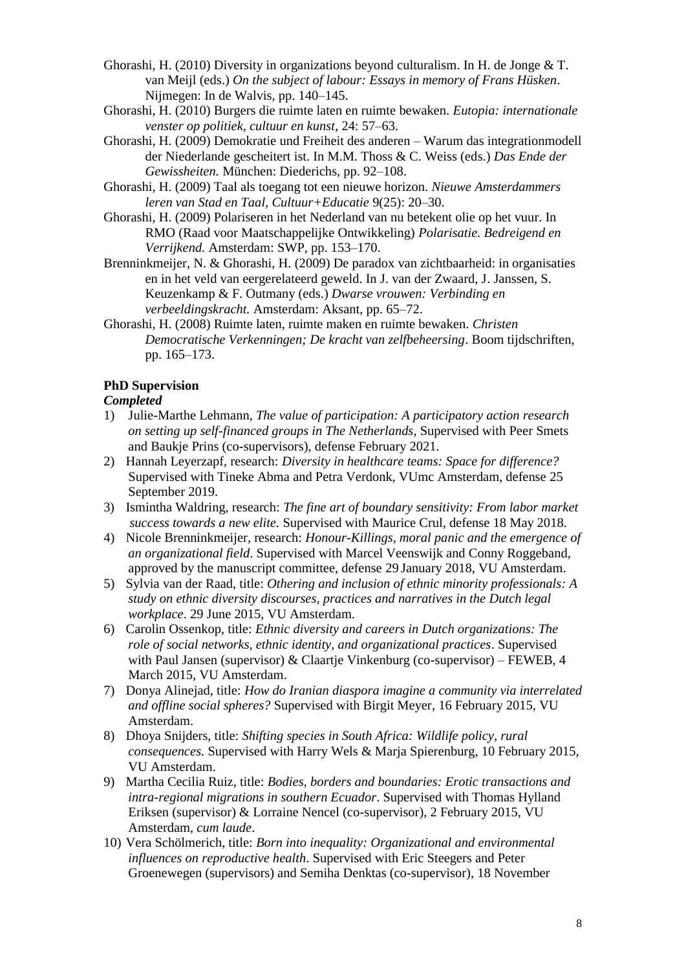- Ghorashi, H. (2010) Diversity in organizations beyond culturalism. In H. de Jonge & T. van Meijl (eds.) *On the subject of labour: Essays in memory of Frans Hüsken*. Nijmegen: In de Walvis, pp. 140–145.
- Ghorashi, H. (2010) Burgers die ruimte laten en ruimte bewaken. *Eutopia: internationale venster op politiek, cultuur en kunst*, 24: 57–63.
- Ghorashi, H. (2009) Demokratie und Freiheit des anderen Warum das integrationmodell der Niederlande gescheitert ist. In M.M. Thoss & C. Weiss (eds.) *Das Ende der Gewissheiten.* München: Diederichs, pp. 92–108.
- Ghorashi, H. (2009) Taal als toegang tot een nieuwe horizon. *Nieuwe Amsterdammers leren van Stad en Taal, Cultuur+Educatie* 9(25): 20–30.
- Ghorashi, H. (2009) Polariseren in het Nederland van nu betekent olie op het vuur. In RMO (Raad voor Maatschappelijke Ontwikkeling) *Polarisatie. Bedreigend en Verrijkend.* Amsterdam: SWP, pp. 153–170.
- Brenninkmeijer, N. & Ghorashi, H. (2009) De paradox van zichtbaarheid: in organisaties en in het veld van eergerelateerd geweld. In J. van der Zwaard, J. Janssen, S. Keuzenkamp & F. Outmany (eds.) *Dwarse vrouwen: Verbinding en verbeeldingskracht.* Amsterdam: Aksant, pp. 65–72.
- Ghorashi, H. (2008) Ruimte laten, ruimte maken en ruimte bewaken. *Christen Democratische Verkenningen; De kracht van zelfbeheersing*. Boom tijdschriften, pp. 165–173.

# **PhD Supervision**

# *Completed*

- 1) Julie-Marthe Lehmann, *The value of participation: A participatory action research on setting up self-financed groups in The Netherlands*, Supervised with Peer Smets and Baukje Prins (co-supervisors), defense February 2021.
- 2) Hannah Leyerzapf, research: *Diversity in healthcare teams: Space for difference?* Supervised with Tineke Abma and Petra Verdonk, VUmc Amsterdam, defense 25 September 2019.
- 3) Ismintha Waldring, research: *The fine art of boundary sensitivity: From labor market success towards a new elite.* Supervised with Maurice Crul, defense 18 May 2018.
- 4) Nicole Brenninkmeijer, research: *Honour-Killings, moral panic and the emergence of an organizational field*. Supervised with Marcel Veenswijk and Conny Roggeband, approved by the manuscript committee, defense 29 January 2018, VU Amsterdam.
- 5) Sylvia van der Raad, title: *Othering and inclusion of ethnic minority professionals: A study on ethnic diversity discourses, practices and narratives in the Dutch legal workplace*. 29 June 2015, VU Amsterdam.
- 6) Carolin Ossenkop, title: *Ethnic diversity and careers in Dutch organizations: The role of social networks, ethnic identity, and organizational practices*. Supervised with Paul Jansen (supervisor) & Claartje Vinkenburg (co-supervisor) – FEWEB, 4 March 2015, VU Amsterdam.
- 7) Donya Alinejad, title: *How do Iranian diaspora imagine a community via interrelated and offline social spheres?* Supervised with Birgit Meyer, 16 February 2015, VU Amsterdam.
- 8) Dhoya Snijders, title: *Shifting species in South Africa: Wildlife policy, rural consequences.* Supervised with Harry Wels & Marja Spierenburg, 10 February 2015, VU Amsterdam.
- 9) Martha Cecilia Ruiz, title: *Bodies, borders and boundaries: Erotic transactions and intra-regional migrations in southern Ecuador*. Supervised with Thomas Hylland Eriksen (supervisor) & Lorraine Nencel (co-supervisor), 2 February 2015, VU Amsterdam, *cum laude*.
- 10) Vera Schölmerich, title: *Born into inequality: Organizational and environmental influences on reproductive health*. Supervised with Eric Steegers and Peter Groenewegen (supervisors) and Semiha Denktas (co-supervisor), 18 November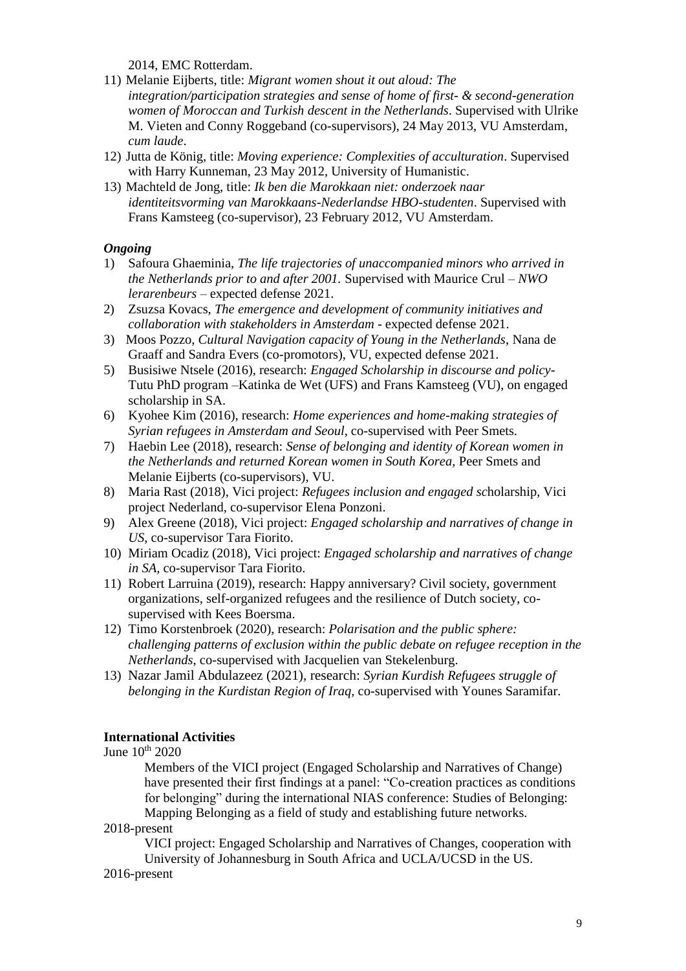2014, EMC Rotterdam.

- 11) Melanie Eijberts, title: *Migrant women shout it out aloud: The integration/participation strategies and sense of home of first- & second-generation women of Moroccan and Turkish descent in the Netherlands*. Supervised with Ulrike M. Vieten and Conny Roggeband (co-supervisors), 24 May 2013, VU Amsterdam, *cum laude*.
- 12) Jutta de König, title: *Moving experience: Complexities of acculturation*. Supervised with Harry Kunneman, 23 May 2012, University of Humanistic.
- 13) Machteld de Jong, title: *Ik ben die Marokkaan niet: onderzoek naar identiteitsvorming van Marokkaans-Nederlandse HBO-studenten*. Supervised with Frans Kamsteeg (co-supervisor), 23 February 2012, VU Amsterdam.

# *Ongoing*

- 1) Safoura Ghaeminia, *The life trajectories of unaccompanied minors who arrived in the Netherlands prior to and after 2001.* Supervised with Maurice Crul – *NWO lerarenbeurs* – expected defense 2021.
- 2) Zsuzsa Kovacs, *The emergence and development of community initiatives and collaboration with stakeholders in Amsterdam* - expected defense 2021.
- 3) Moos Pozzo, *Cultural Navigation capacity of Young in the Netherlands*, Nana de Graaff and Sandra Evers (co-promotors), VU, expected defense 2021.
- 5) Busisiwe Ntsele (2016), research: *Engaged Scholarship in discourse and policy*-Tutu PhD program –Katinka de Wet (UFS) and Frans Kamsteeg (VU), on engaged scholarship in SA.
- 6) Kyohee Kim (2016), research: *Home experiences and home-making strategies of Syrian refugees in Amsterdam and Seoul*, co-supervised with Peer Smets.
- 7) Haebin Lee (2018), research: *Sense of belonging and identity of Korean women in the Netherlands and returned Korean women in South Korea,* Peer Smets and Melanie Eijberts (co-supervisors), VU.
- 8) Maria Rast (2018), Vici project: *Refugees inclusion and engaged sc*holarship, Vici project Nederland, co-supervisor Elena Ponzoni.
- 9) Alex Greene (2018), Vici project: *Engaged scholarship and narratives of change in US*, co-supervisor Tara Fiorito.
- 10) Miriam Ocadiz (2018), Vici project: *Engaged scholarship and narratives of change in SA,* co-supervisor Tara Fiorito.
- 11) Robert Larruina (2019), research: Happy anniversary? Civil society, government organizations, self-organized refugees and the resilience of Dutch society, cosupervised with Kees Boersma.
- 12) Timo Korstenbroek (2020), research: *Polarisation and the public sphere: challenging patterns of exclusion within the public debate on refugee reception in the Netherlands*, co-supervised with Jacquelien van Stekelenburg.
- 13) Nazar Jamil Abdulazeez (2021), research: *Syrian Kurdish Refugees struggle of belonging in the Kurdistan Region of Iraq,* co-supervised with Younes Saramifar.

# **International Activities**

June 10<sup>th</sup> 2020

Members of the VICI project (Engaged Scholarship and Narratives of Change) have presented their first findings at a panel: "Co-creation practices as conditions for belonging" during the international NIAS conference: Studies of Belonging: Mapping Belonging as a field of study and establishing future networks.

2018-present

VICI project: Engaged Scholarship and Narratives of Changes, cooperation with University of Johannesburg in South Africa and UCLA/UCSD in the US.

2016-present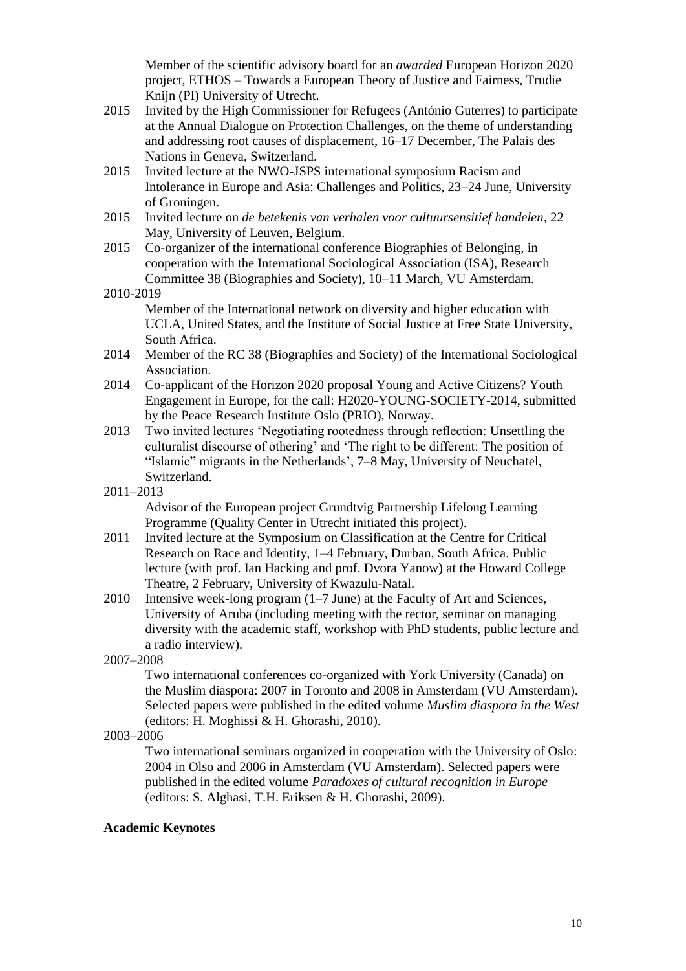Member of the scientific advisory board for an *awarded* European Horizon 2020 project, ETHOS – Towards a European Theory of Justice and Fairness, Trudie Knijn (PI) University of Utrecht.

- 2015 Invited by the High Commissioner for Refugees (António Guterres) to participate at the Annual Dialogue on Protection Challenges, on the theme of understanding and addressing root causes of displacement, 16–17 December, The Palais des Nations in Geneva, Switzerland.
- 2015 Invited lecture at the NWO-JSPS international symposium Racism and Intolerance in Europe and Asia: Challenges and Politics, 23–24 June, University of Groningen.
- 2015 Invited lecture on *de betekenis van verhalen voor cultuursensitief handelen*, 22 May, University of Leuven, Belgium.
- 2015 Co-organizer of the international conference Biographies of Belonging, in cooperation with the International Sociological Association (ISA), Research Committee 38 (Biographies and Society), 10–11 March, VU Amsterdam.

2010-2019

Member of the International network on diversity and higher education with UCLA, United States, and the Institute of Social Justice at Free State University, South Africa.

- 2014 Member of the RC 38 (Biographies and Society) of the International Sociological Association.
- 2014 Co-applicant of the Horizon 2020 proposal Young and Active Citizens? Youth Engagement in Europe, for the call: H2020-YOUNG-SOCIETY-2014, submitted by the Peace Research Institute Oslo (PRIO), Norway.
- 2013 Two invited lectures 'Negotiating rootedness through reflection: Unsettling the culturalist discourse of othering' and 'The right to be different: The position of "Islamic" migrants in the Netherlands', 7–8 May, University of Neuchatel, Switzerland.
- 2011–2013

Advisor of the European project Grundtvig Partnership Lifelong Learning Programme (Quality Center in Utrecht initiated this project).

- 2011 Invited lecture at the Symposium on Classification at the Centre for Critical Research on Race and Identity, 1–4 February, Durban, South Africa. Public lecture (with prof. Ian Hacking and prof. Dvora Yanow) at the Howard College Theatre, 2 February, University of Kwazulu-Natal.
- 2010 Intensive week-long program (1–7 June) at the Faculty of Art and Sciences, University of Aruba (including meeting with the rector, seminar on managing diversity with the academic staff, workshop with PhD students, public lecture and a radio interview).

2007–2008

Two international conferences co-organized with York University (Canada) on the Muslim diaspora: 2007 in Toronto and 2008 in Amsterdam (VU Amsterdam). Selected papers were published in the edited volume *Muslim diaspora in the West* (editors: H. Moghissi & H. Ghorashi, 2010).

2003–2006

Two international seminars organized in cooperation with the University of Oslo: 2004 in Olso and 2006 in Amsterdam (VU Amsterdam). Selected papers were published in the edited volume *Paradoxes of cultural recognition in Europe* (editors: S. Alghasi, T.H. Eriksen & H. Ghorashi, 2009).

### **Academic Keynotes**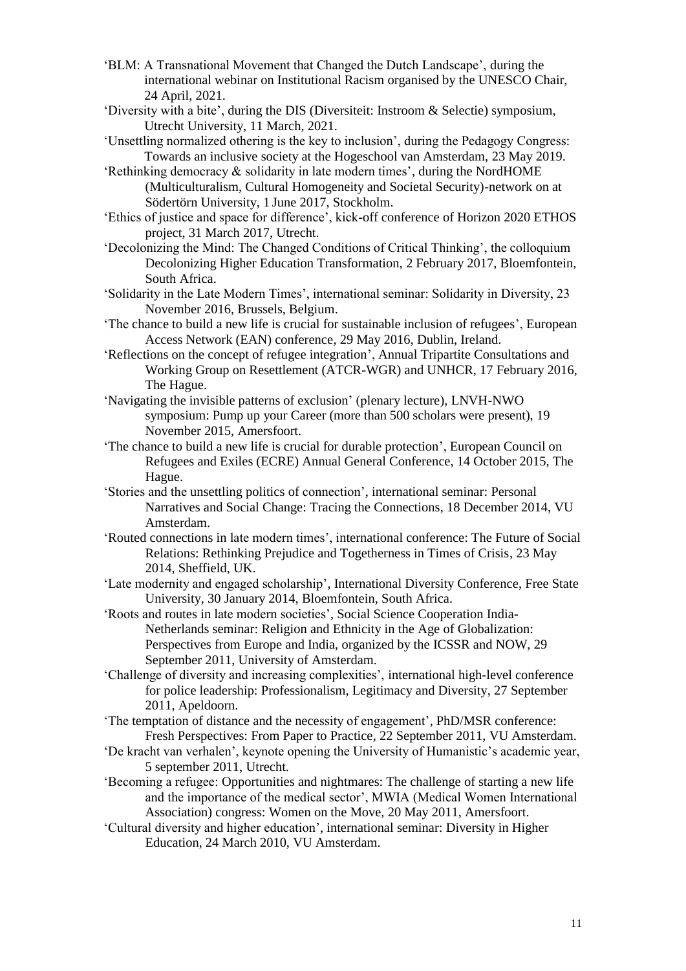- 'BLM: A Transnational Movement that Changed the Dutch Landscape', during the international webinar on Institutional Racism organised by the UNESCO Chair, 24 April, 2021.
- 'Diversity with a bite', during the DIS (Diversiteit: Instroom & Selectie) symposium, Utrecht University, 11 March, 2021.
- 'Unsettling normalized othering is the key to inclusion', during the Pedagogy Congress: Towards an inclusive society at the Hogeschool van Amsterdam, 23 May 2019.
- 'Rethinking democracy & solidarity in late modern times', during the NordHOME (Multiculturalism, Cultural Homogeneity and Societal Security)-network on at Södertörn University, 1 June 2017, Stockholm.
- 'Ethics of justice and space for difference', kick-off conference of Horizon 2020 ETHOS project, 31 March 2017, Utrecht.
- 'Decolonizing the Mind: The Changed Conditions of Critical Thinking', the colloquium Decolonizing Higher Education Transformation, 2 February 2017, Bloemfontein, South Africa.
- 'Solidarity in the Late Modern Times', international seminar: Solidarity in Diversity, 23 November 2016, Brussels, Belgium.
- 'The chance to build a new life is crucial for sustainable inclusion of refugees', European Access Network (EAN) conference, 29 May 2016, Dublin, Ireland.
- 'Reflections on the concept of refugee integration', Annual Tripartite Consultations and Working Group on Resettlement (ATCR-WGR) and UNHCR, 17 February 2016, The Hague.
- 'Navigating the invisible patterns of exclusion' (plenary lecture), LNVH-NWO symposium: Pump up your Career (more than 500 scholars were present), 19 November 2015, Amersfoort.
- 'The chance to build a new life is crucial for durable protection', European Council on Refugees and Exiles (ECRE) Annual General Conference, 14 October 2015, The Hague.
- 'Stories and the unsettling politics of connection', international seminar: Personal Narratives and Social Change: Tracing the Connections, 18 December 2014, VU Amsterdam.
- 'Routed connections in late modern times', international conference: The Future of Social Relations: Rethinking Prejudice and Togetherness in Times of Crisis, 23 May 2014, Sheffield, UK.
- 'Late modernity and engaged scholarship', International Diversity Conference, Free State University, 30 January 2014, Bloemfontein, South Africa.
- 'Roots and routes in late modern societies', Social Science Cooperation India-Netherlands seminar: Religion and Ethnicity in the Age of Globalization: Perspectives from Europe and India, organized by the ICSSR and NOW, 29 September 2011, University of Amsterdam.
- 'Challenge of diversity and increasing complexities', international high-level conference for police leadership: Professionalism, Legitimacy and Diversity, 27 September 2011, Apeldoorn.
- 'The temptation of distance and the necessity of engagement', PhD/MSR conference: Fresh Perspectives: From Paper to Practice, 22 September 2011, VU Amsterdam.
- 'De kracht van verhalen', keynote opening the University of Humanistic's academic year, 5 september 2011, Utrecht.
- 'Becoming a refugee: Opportunities and nightmares: The challenge of starting a new life and the importance of the medical sector', MWIA (Medical Women International Association) congress: Women on the Move, 20 May 2011, Amersfoort.
- 'Cultural diversity and higher education', international seminar: Diversity in Higher Education, 24 March 2010, VU Amsterdam.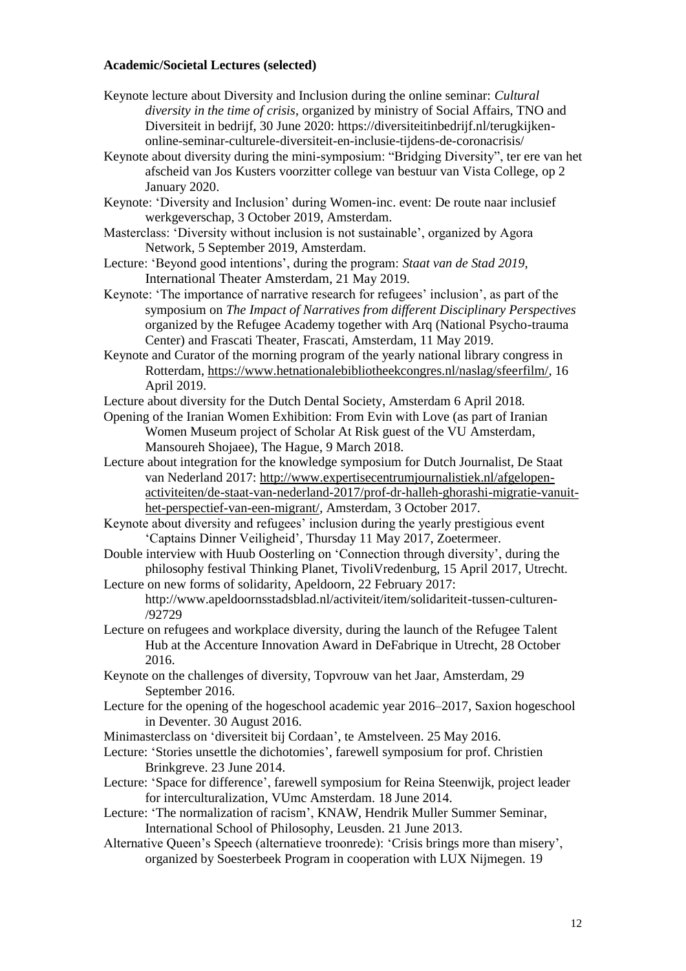#### **Academic/Societal Lectures (selected)**

- Keynote lecture about Diversity and Inclusion during the online seminar: *Cultural diversity in the time of crisis*, organized by ministry of Social Affairs, TNO and Diversiteit in bedrijf, 30 June 2020: https://diversiteitinbedrijf.nl/terugkijkenonline-seminar-culturele-diversiteit-en-inclusie-tijdens-de-coronacrisis/
- Keynote about diversity during the mini-symposium: "Bridging Diversity", ter ere van het afscheid van Jos Kusters voorzitter college van bestuur van Vista College, op 2 January 2020.
- Keynote: 'Diversity and Inclusion' during Women-inc. event: De route naar inclusief werkgeverschap, 3 October 2019, Amsterdam.
- Masterclass: 'Diversity without inclusion is not sustainable', organized by Agora Network, 5 September 2019, Amsterdam.
- Lecture: 'Beyond good intentions', during the program: *Staat van de Stad 2019*, International Theater Amsterdam, 21 May 2019.
- Keynote: 'The importance of narrative research for refugees' inclusion', as part of the symposium on *The Impact of Narratives from different Disciplinary Perspectives* organized by the Refugee Academy together with Arq (National Psycho-trauma Center) and Frascati Theater, Frascati, Amsterdam, 11 May 2019.
- Keynote and Curator of the morning program of the yearly national library congress in Rotterdam, [https://www.hetnationalebibliotheekcongres.nl/naslag/sfeerfilm/,](https://www.hetnationalebibliotheekcongres.nl/naslag/sfeerfilm/) 16 April 2019.
- Lecture about diversity for the Dutch Dental Society, Amsterdam 6 April 2018.
- Opening of the Iranian Women Exhibition: From Evin with Love (as part of Iranian Women Museum project of Scholar At Risk guest of the VU Amsterdam, Mansoureh Shojaee), The Hague, 9 March 2018.
- Lecture about integration for the knowledge symposium for Dutch Journalist, De Staat van Nederland 2017: [http://www.expertisecentrumjournalistiek.nl/afgelopen](http://www.expertisecentrumjournalistiek.nl/afgelopen-activiteiten/de-staat-van-nederland-2017/prof-dr-halleh-ghorashi-migratie-vanuit-het-perspectief-van-een-migrant/)[activiteiten/de-staat-van-nederland-2017/prof-dr-halleh-ghorashi-migratie-vanuit](http://www.expertisecentrumjournalistiek.nl/afgelopen-activiteiten/de-staat-van-nederland-2017/prof-dr-halleh-ghorashi-migratie-vanuit-het-perspectief-van-een-migrant/)[het-perspectief-van-een-migrant/,](http://www.expertisecentrumjournalistiek.nl/afgelopen-activiteiten/de-staat-van-nederland-2017/prof-dr-halleh-ghorashi-migratie-vanuit-het-perspectief-van-een-migrant/) Amsterdam, 3 October 2017.
- Keynote about diversity and refugees' inclusion during the yearly prestigious event 'Captains Dinner Veiligheid', Thursday 11 May 2017, Zoetermeer.
- Double interview with Huub Oosterling on 'Connection through diversity', during the philosophy festival Thinking Planet, TivoliVredenburg, 15 April 2017, Utrecht.
- Lecture on new forms of solidarity, Apeldoorn, 22 February 2017: http://www.apeldoornsstadsblad.nl/activiteit/item/solidariteit-tussen-culturen- /92729
- Lecture on refugees and workplace diversity, during the launch of the Refugee Talent Hub at the Accenture Innovation Award in DeFabrique in Utrecht, 28 October 2016.
- Keynote on the challenges of diversity, Topvrouw van het Jaar, Amsterdam, 29 September 2016.
- Lecture for the opening of the hogeschool academic year 2016–2017, Saxion hogeschool in Deventer. 30 August 2016.
- Minimasterclass on 'diversiteit bij Cordaan', te Amstelveen. 25 May 2016.
- Lecture: 'Stories unsettle the dichotomies', farewell symposium for prof. Christien Brinkgreve. 23 June 2014.
- Lecture: 'Space for difference', farewell symposium for Reina Steenwijk, project leader for interculturalization, VUmc Amsterdam. 18 June 2014.
- Lecture: 'The normalization of racism', KNAW, Hendrik Muller Summer Seminar, International School of Philosophy, Leusden. 21 June 2013.
- Alternative Queen's Speech (alternatieve troonrede): 'Crisis brings more than misery', organized by Soesterbeek Program in cooperation with LUX Nijmegen. 19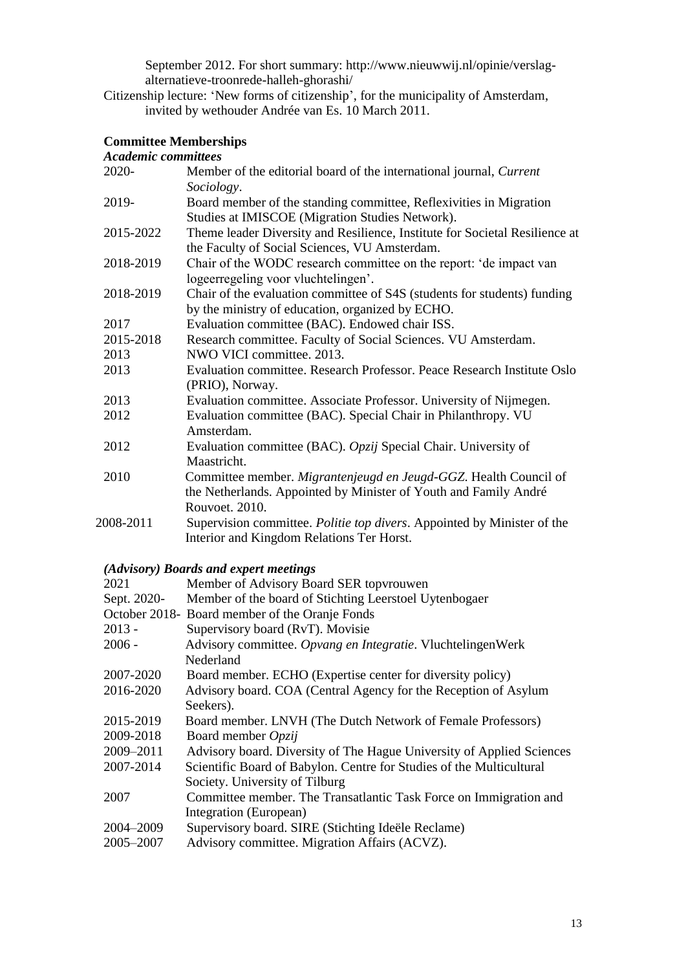September 2012. For short summary: http://www.nieuwwij.nl/opinie/verslagalternatieve-troonrede-halleh-ghorashi/

Citizenship lecture: 'New forms of citizenship', for the municipality of Amsterdam, invited by wethouder Andrée van Es. 10 March 2011.

# **Committee Memberships**

| <b>Academic committees</b> |  |
|----------------------------|--|

| дсиието соттичес |                                                                             |
|------------------|-----------------------------------------------------------------------------|
| 2020-            | Member of the editorial board of the international journal, Current         |
|                  | Sociology.                                                                  |
| 2019-            | Board member of the standing committee, Reflexivities in Migration          |
|                  | Studies at IMISCOE (Migration Studies Network).                             |
| 2015-2022        | Theme leader Diversity and Resilience, Institute for Societal Resilience at |
|                  | the Faculty of Social Sciences, VU Amsterdam.                               |
| 2018-2019        | Chair of the WODC research committee on the report: 'de impact van          |
|                  | logeerregeling voor vluchtelingen'.                                         |
| 2018-2019        | Chair of the evaluation committee of S4S (students for students) funding    |
|                  | by the ministry of education, organized by ECHO.                            |
| 2017             | Evaluation committee (BAC). Endowed chair ISS.                              |
| 2015-2018        | Research committee. Faculty of Social Sciences. VU Amsterdam.               |
| 2013             | NWO VICI committee. 2013.                                                   |
| 2013             | Evaluation committee. Research Professor. Peace Research Institute Oslo     |
|                  | (PRIO), Norway.                                                             |
| 2013             | Evaluation committee. Associate Professor. University of Nijmegen.          |
| 2012             | Evaluation committee (BAC). Special Chair in Philanthropy. VU               |
|                  | Amsterdam                                                                   |
| 2012             | Evaluation committee (BAC). Opzij Special Chair. University of              |
|                  | Maastricht.                                                                 |
| 2010             | Committee member. Migrantenjeugd en Jeugd-GGZ. Health Council of            |
|                  | the Netherlands. Appointed by Minister of Youth and Family André            |
|                  | Rouvoet. 2010.                                                              |
| 2008-2011        | Supervision committee. Politie top divers. Appointed by Minister of the     |
|                  | Interior and Kingdom Relations Ter Horst.                                   |
|                  |                                                                             |

# *(Advisory) Boards and expert meetings*

| 2021        | Member of Advisory Board SER topyrouwen                               |  |
|-------------|-----------------------------------------------------------------------|--|
| Sept. 2020- | Member of the board of Stichting Leerstoel Uytenbogaer                |  |
|             | October 2018- Board member of the Oranje Fonds                        |  |
| $2013 -$    | Supervisory board (RvT). Movisie                                      |  |
| $2006 -$    | Advisory committee. Opvang en Integratie. VluchtelingenWerk           |  |
|             | Nederland                                                             |  |
| 2007-2020   | Board member. ECHO (Expertise center for diversity policy)            |  |
| 2016-2020   | Advisory board. COA (Central Agency for the Reception of Asylum       |  |
|             | Seekers).                                                             |  |
| 2015-2019   | Board member. LNVH (The Dutch Network of Female Professors)           |  |
| 2009-2018   | Board member Opzij                                                    |  |
| 2009-2011   | Advisory board. Diversity of The Hague University of Applied Sciences |  |
| 2007-2014   | Scientific Board of Babylon. Centre for Studies of the Multicultural  |  |
|             | Society. University of Tilburg                                        |  |
| 2007        | Committee member. The Transatlantic Task Force on Immigration and     |  |
|             | Integration (European)                                                |  |
| 2004-2009   | Supervisory board. SIRE (Stichting Ideële Reclame)                    |  |
| 2005-2007   | Advisory committee. Migration Affairs (ACVZ).                         |  |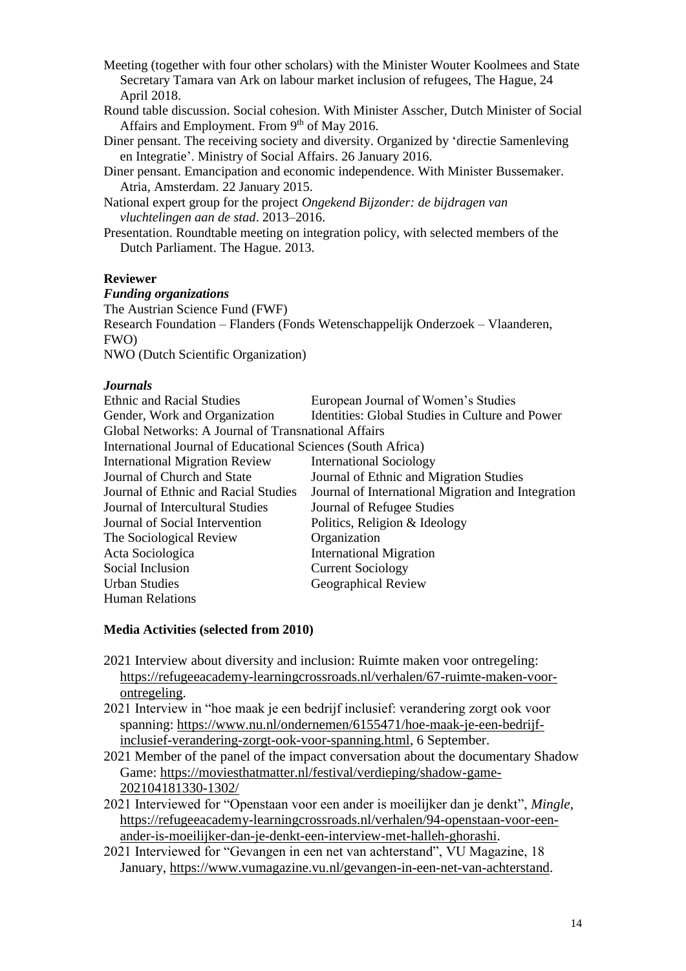Meeting (together with four other scholars) with the Minister Wouter Koolmees and State Secretary Tamara van Ark on labour market inclusion of refugees, The Hague, 24 April 2018.

- Round table discussion. Social cohesion. With Minister Asscher, Dutch Minister of Social Affairs and Employment. From  $9<sup>th</sup>$  of May 2016.
- Diner pensant. The receiving society and diversity. Organized by 'directie Samenleving en Integratie'. Ministry of Social Affairs. 26 January 2016.
- Diner pensant. Emancipation and economic independence. With Minister Bussemaker. Atria, Amsterdam. 22 January 2015.
- National expert group for the project *Ongekend Bijzonder: de bijdragen van vluchtelingen aan de stad*. 2013–2016.
- Presentation. Roundtable meeting on integration policy, with selected members of the Dutch Parliament. The Hague. 2013.

### **Reviewer**

### *Funding organizations*

The Austrian Science Fund (FWF) Research Foundation – Flanders (Fonds Wetenschappelijk Onderzoek – Vlaanderen, FWO)

NWO (Dutch Scientific Organization)

### *Journals*

| <b>Ethnic and Racial Studies</b>                             | European Journal of Women's Studies                |  |  |  |
|--------------------------------------------------------------|----------------------------------------------------|--|--|--|
| Gender, Work and Organization                                | Identities: Global Studies in Culture and Power    |  |  |  |
| Global Networks: A Journal of Transnational Affairs          |                                                    |  |  |  |
| International Journal of Educational Sciences (South Africa) |                                                    |  |  |  |
| <b>International Migration Review</b>                        | <b>International Sociology</b>                     |  |  |  |
| Journal of Church and State                                  | Journal of Ethnic and Migration Studies            |  |  |  |
| Journal of Ethnic and Racial Studies                         | Journal of International Migration and Integration |  |  |  |
| Journal of Intercultural Studies                             | Journal of Refugee Studies                         |  |  |  |
| Journal of Social Intervention                               | Politics, Religion & Ideology                      |  |  |  |
| The Sociological Review                                      | Organization                                       |  |  |  |
| Acta Sociologica                                             | <b>International Migration</b>                     |  |  |  |
| Social Inclusion                                             | <b>Current Sociology</b>                           |  |  |  |
| <b>Urban Studies</b>                                         | Geographical Review                                |  |  |  |
| <b>Human Relations</b>                                       |                                                    |  |  |  |

### **Media Activities (selected from 2010)**

- 2021 Interview about diversity and inclusion: Ruimte maken voor ontregeling: [https://refugeeacademy-learningcrossroads.nl/verhalen/67-ruimte-maken-voor](https://refugeeacademy-learningcrossroads.nl/verhalen/67-ruimte-maken-voor-ontregeling)[ontregeling.](https://refugeeacademy-learningcrossroads.nl/verhalen/67-ruimte-maken-voor-ontregeling)
- 2021 Interview in "hoe maak je een bedrijf inclusief: verandering zorgt ook voor spanning: [https://www.nu.nl/ondernemen/6155471/hoe-maak-je-een-bedrijf](https://www.nu.nl/ondernemen/6155471/hoe-maak-je-een-bedrijf-inclusief-verandering-zorgt-ook-voor-spanning.html)[inclusief-verandering-zorgt-ook-voor-spanning.html,](https://www.nu.nl/ondernemen/6155471/hoe-maak-je-een-bedrijf-inclusief-verandering-zorgt-ook-voor-spanning.html) 6 September.
- 2021 Member of the panel of the impact conversation about the documentary Shadow Game: [https://moviesthatmatter.nl/festival/verdieping/shadow-game-](https://moviesthatmatter.nl/festival/verdieping/shadow-game-202104181330-1302/)[202104181330-1302/](https://moviesthatmatter.nl/festival/verdieping/shadow-game-202104181330-1302/)
- 2021 Interviewed for "Openstaan voor een ander is moeilijker dan je denkt", *Mingle*, [https://refugeeacademy-learningcrossroads.nl/verhalen/94-openstaan-voor-een](https://refugeeacademy-learningcrossroads.nl/verhalen/94-openstaan-voor-een-ander-is-moeilijker-dan-je-denkt-een-interview-met-halleh-ghorashi)[ander-is-moeilijker-dan-je-denkt-een-interview-met-halleh-ghorashi.](https://refugeeacademy-learningcrossroads.nl/verhalen/94-openstaan-voor-een-ander-is-moeilijker-dan-je-denkt-een-interview-met-halleh-ghorashi)
- 2021 Interviewed for "Gevangen in een net van achterstand", VU Magazine, 18 January, [https://www.vumagazine.vu.nl/gevangen-in-een-net-van-achterstand.](https://www.vumagazine.vu.nl/gevangen-in-een-net-van-achterstand)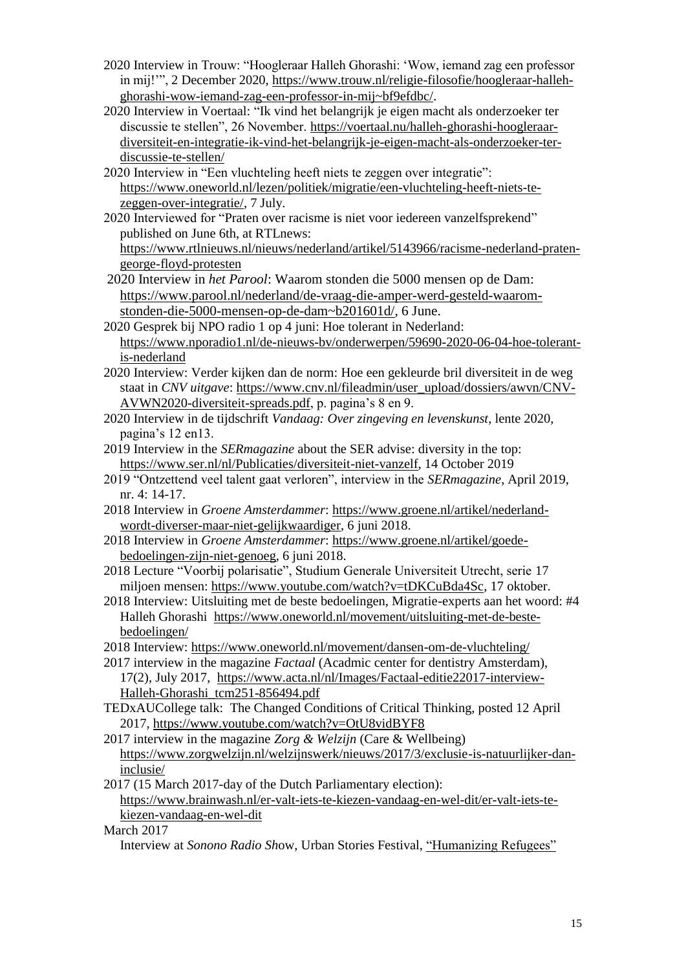- 2020 Interview in Trouw: "Hoogleraar Halleh Ghorashi: 'Wow, iemand zag een professor in mij!'", 2 December 2020, [https://www.trouw.nl/religie-filosofie/hoogleraar-halleh](https://www.trouw.nl/religie-filosofie/hoogleraar-halleh-ghorashi-wow-iemand-zag-een-professor-in-mij~bf9efdbc/)[ghorashi-wow-iemand-zag-een-professor-in-mij~bf9efdbc/](https://www.trouw.nl/religie-filosofie/hoogleraar-halleh-ghorashi-wow-iemand-zag-een-professor-in-mij~bf9efdbc/).
- 2020 Interview in Voertaal: "Ik vind het belangrijk je eigen macht als onderzoeker ter discussie te stellen", 26 November. [https://voertaal.nu/halleh-ghorashi-hoogleraar](https://voertaal.nu/halleh-ghorashi-hoogleraar-diversiteit-en-integratie-ik-vind-het-belangrijk-je-eigen-macht-als-onderzoeker-ter-discussie-te-stellen/)[diversiteit-en-integratie-ik-vind-het-belangrijk-je-eigen-macht-als-onderzoeker-ter](https://voertaal.nu/halleh-ghorashi-hoogleraar-diversiteit-en-integratie-ik-vind-het-belangrijk-je-eigen-macht-als-onderzoeker-ter-discussie-te-stellen/)[discussie-te-stellen/](https://voertaal.nu/halleh-ghorashi-hoogleraar-diversiteit-en-integratie-ik-vind-het-belangrijk-je-eigen-macht-als-onderzoeker-ter-discussie-te-stellen/)
- 2020 Interview in "Een vluchteling heeft niets te zeggen over integratie": [https://www.oneworld.nl/lezen/politiek/migratie/een-vluchteling-heeft-niets-te](https://www.oneworld.nl/lezen/politiek/migratie/een-vluchteling-heeft-niets-te-zeggen-over-integratie/)[zeggen-over-integratie/,](https://www.oneworld.nl/lezen/politiek/migratie/een-vluchteling-heeft-niets-te-zeggen-over-integratie/) 7 July.
- 2020 Interviewed for "Praten over racisme is niet voor iedereen vanzelfsprekend" published on June 6th, at RTLnews: [https://www.rtlnieuws.nl/nieuws/nederland/artikel/5143966/racisme-nederland-praten-](https://www.rtlnieuws.nl/nieuws/nederland/artikel/5143966/racisme-nederland-praten-george-floyd-protesten)
- [george-floyd-protesten](https://www.rtlnieuws.nl/nieuws/nederland/artikel/5143966/racisme-nederland-praten-george-floyd-protesten) 2020 Interview in *het Parool*: Waarom stonden die 5000 mensen op de Dam: [https://www.parool.nl/nederland/de-vraag-die-amper-werd-gesteld-waarom](https://www.parool.nl/nederland/de-vraag-die-amper-werd-gesteld-waarom-stonden-die-5000-mensen-op-de-dam~b201601d/)[stonden-die-5000-mensen-op-de-dam~b201601d/,](https://www.parool.nl/nederland/de-vraag-die-amper-werd-gesteld-waarom-stonden-die-5000-mensen-op-de-dam~b201601d/) 6 June.
- 2020 Gesprek bij NPO radio 1 op 4 juni: Hoe tolerant in Nederland: [https://www.nporadio1.nl/de-nieuws-bv/onderwerpen/59690-2020-06-04-hoe-tolerant](https://www.nporadio1.nl/de-nieuws-bv/onderwerpen/59690-2020-06-04-hoe-tolerant-is-nederland)[is-nederland](https://www.nporadio1.nl/de-nieuws-bv/onderwerpen/59690-2020-06-04-hoe-tolerant-is-nederland)
- 2020 Interview: Verder kijken dan de norm: Hoe een gekleurde bril diversiteit in de weg staat in *CNV uitgave*: [https://www.cnv.nl/fileadmin/user\\_upload/dossiers/awvn/CNV-](https://www.cnv.nl/fileadmin/user_upload/dossiers/awvn/CNV-AVWN2020-diversiteit-spreads.pdf)[AVWN2020-diversiteit-spreads.pdf,](https://www.cnv.nl/fileadmin/user_upload/dossiers/awvn/CNV-AVWN2020-diversiteit-spreads.pdf) p. pagina's 8 en 9.
- 2020 Interview in de tijdschrift *Vandaag: Over zingeving en levenskunst*, lente 2020, pagina's 12 en13.
- 2019 Interview in the *SERmagazine* about the SER advise: diversity in the top: [https://www.ser.nl/nl/Publicaties/diversiteit-niet-vanzelf,](https://www.ser.nl/nl/Publicaties/diversiteit-niet-vanzelf) 14 October 2019
- 2019 "Ontzettend veel talent gaat verloren", interview in the *SERmagazine*, April 2019, nr. 4: 14-17.
- 2018 Interview in *Groene Amsterdammer*: [https://www.groene.nl/artikel/nederland](https://www.groene.nl/artikel/nederland-wordt-diverser-maar-niet-gelijkwaardiger)[wordt-diverser-maar-niet-gelijkwaardiger,](https://www.groene.nl/artikel/nederland-wordt-diverser-maar-niet-gelijkwaardiger) 6 juni 2018.
- 2018 Interview in *Groene Amsterdammer*: [https://www.groene.nl/artikel/goede](https://www.groene.nl/artikel/goede-bedoelingen-zijn-niet-genoeg)[bedoelingen-zijn-niet-genoeg,](https://www.groene.nl/artikel/goede-bedoelingen-zijn-niet-genoeg) 6 juni 2018.
- 2018 Lecture "Voorbij polarisatie", Studium Generale Universiteit Utrecht, serie 17 miljoen mensen: [https://www.youtube.com/watch?v=tDKCuBda4Sc,](https://www.youtube.com/watch?v=tDKCuBda4Sc) 17 oktober.
- 2018 Interview: Uitsluiting met de beste bedoelingen, Migratie-experts aan het woord: #4 Halleh Ghorashi [https://www.oneworld.nl/movement/uitsluiting-met-de-beste](https://www.oneworld.nl/movement/uitsluiting-met-de-beste-bedoelingen/)[bedoelingen/](https://www.oneworld.nl/movement/uitsluiting-met-de-beste-bedoelingen/)
- 2018 Interview:<https://www.oneworld.nl/movement/dansen-om-de-vluchteling/>
- 2017 interview in the magazine *Factaal* (Acadmic center for dentistry Amsterdam), 17(2), July 2017, [https://www.acta.nl/nl/Images/Factaal-editie22017-interview-](https://www.acta.nl/nl/Images/Factaal-editie22017-interview-Halleh-Ghorashi_tcm251-856494.pdf)[Halleh-Ghorashi\\_tcm251-856494.pdf](https://www.acta.nl/nl/Images/Factaal-editie22017-interview-Halleh-Ghorashi_tcm251-856494.pdf)
- TEDxAUCollege talk: The Changed Conditions of Critical Thinking, posted 12 April 2017,<https://www.youtube.com/watch?v=OtU8vidBYF8>
- 2017 interview in the magazine *Zorg & Welzijn* (Care & Wellbeing) [https://www.zorgwelzijn.nl/welzijnswerk/nieuws/2017/3/exclusie-is-natuurlijker-dan](https://www.zorgwelzijn.nl/welzijnswerk/nieuws/2017/3/exclusie-is-natuurlijker-dan-inclusie/)[inclusie/](https://www.zorgwelzijn.nl/welzijnswerk/nieuws/2017/3/exclusie-is-natuurlijker-dan-inclusie/)
- 2017 (15 March 2017-day of the Dutch Parliamentary election): [https://www.brainwash.nl/er-valt-iets-te-kiezen-vandaag-en-wel-dit/er-valt-iets-te](https://www.brainwash.nl/er-valt-iets-te-kiezen-vandaag-en-wel-dit/er-valt-iets-te-kiezen-vandaag-en-wel-dit)[kiezen-vandaag-en-wel-dit](https://www.brainwash.nl/er-valt-iets-te-kiezen-vandaag-en-wel-dit/er-valt-iets-te-kiezen-vandaag-en-wel-dit)
- March 2017

Interview at *Sonono Radio Sh*ow, Urban Stories Festival, ["Humanizing Refugees"](https://www.mixcloud.com/SononoRadio/prof-halleh-ghorashi-at-sonono-radio-show-urban-stories-festival-humanizing-refugees/)